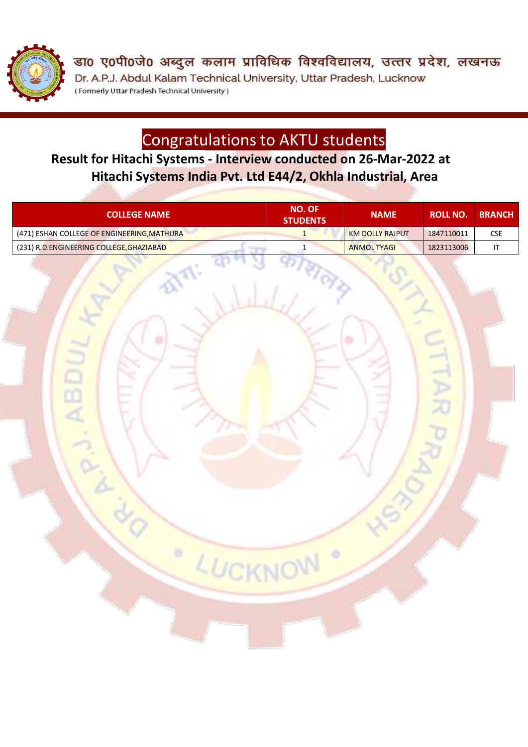

डा0 ए0पी0जे0 अब्दुल कलाम प्राविधिक विश्वविद्यालय, उत्तर प्रदेश, लखनऊ Dr. A.P.J. Abdul Kalam Technical University, Uttar Pradesh, Lucknow (Formerly Uttar Pradesh Technical University)

# Congratulations to AKTU students

**Result for Hitachi Systems - Interview conducted on 26-Mar-2022 at Hitachi Systems India Pvt. Ltd E44/2, Okhla Industrial, Area**

| <b>COLLEGE NAME</b>                         | <b>NO. OF</b><br><b>STUDENTS</b> | <b>NAME</b>            | ROLL NO.   | <b>BRANCH</b> |
|---------------------------------------------|----------------------------------|------------------------|------------|---------------|
| (471) ESHAN COLLEGE OF ENGINEERING, MATHURA |                                  | <b>KM DOLLY RAJPUT</b> | 1847110011 | CSE           |
| (231) R.D.ENGINEERING COLLEGE, GHAZIABAD    |                                  | <b>ANMOLTYAGI</b>      | 1823113006 |               |

LUCKNOW

 $\circ$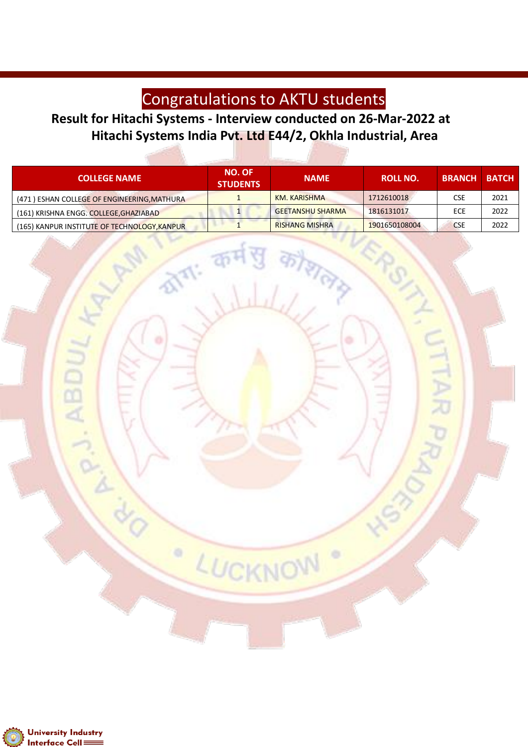## Congratulations to AKTU students

#### **Result for Hitachi Systems - Interview conducted on 26-Mar-2022 at Hitachi Systems India Pvt. Ltd E44/2, Okhla Industrial, Area**

LUCKNOW

۰

**The** 

| <b>COLLEGE NAME</b>                          | <b>NO. OF</b><br><b>STUDENTS</b> | <b>NAME</b>             | <b>ROLL NO.</b> | <b>BRANCH</b> | <b>BATCH</b> |
|----------------------------------------------|----------------------------------|-------------------------|-----------------|---------------|--------------|
| (471) ESHAN COLLEGE OF ENGINEERING, MATHURA  |                                  | KM. KARISHMA            | 1712610018      | <b>CSE</b>    | 2021         |
| (161) KRISHNA ENGG. COLLEGE, GHAZIABAD       |                                  | <b>GEETANSHU SHARMA</b> | 1816131017      | ECE           | 2022         |
| (165) KANPUR INSTITUTE OF TECHNOLOGY, KANPUR |                                  | <b>RISHANG MISHRA</b>   | 1901650108004   | <b>CSE</b>    | 2022         |

 $\frac{1}{2}$  eller



ABI